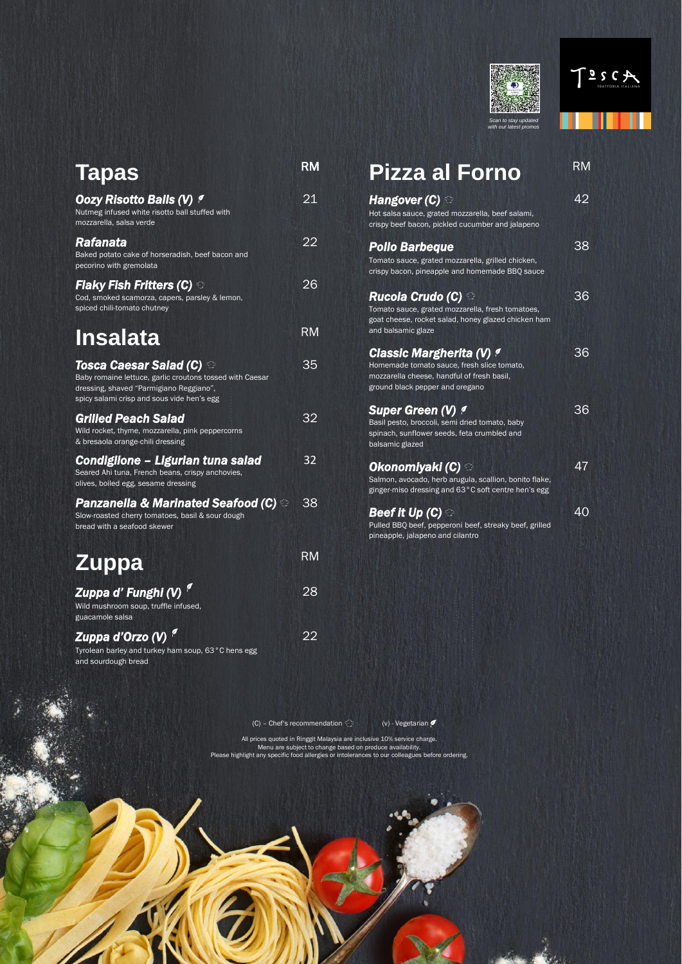



| <b>Tapas</b>                                                                                                                                                                                   | RM        |
|------------------------------------------------------------------------------------------------------------------------------------------------------------------------------------------------|-----------|
| <b>Oozy Risotto Balls (V) 1</b><br>Nutmeg infused white risotto ball stuffed with<br>mozzarella, salsa verde                                                                                   | 21        |
| Rafanata<br>Baked potato cake of horseradish, beef bacon and<br>pecorino with gremolata                                                                                                        | 22        |
| Flaky Fish Fritters (C) $\, \widehat{\circ}$<br>Cod, smoked scamorza, capers, parsley & lemon,<br>spiced chili-tomato chutney                                                                  | 26        |
| <b>Insalata</b>                                                                                                                                                                                | RM        |
| Tosca Caesar Salad (C) $\,\mathbb{\odot}$<br>Baby romaine lettuce, garlic croutons tossed with Caesar<br>dressing, shaved "Parmigiano Reggiano",<br>spicy salami crisp and sous vide hen's egg | 35        |
| <b>Grilled Peach Salad</b><br>Wild rocket, thyme, mozzarella, pink peppercorns<br>& bresaola orange-chili dressing                                                                             | 32        |
| <b>Condiglione - Ligurian tuna salad</b><br>Seared Ahi tuna, French beans, crispy anchovies,<br>olives, boiled egg, sesame dressing                                                            | 32        |
| Panzanella & Marinated Seafood (C) $\circledcirc$<br>Slow-roasted cherry tomatoes, basil & sour dough<br>bread with a seafood skewer                                                           | 38        |
| <b>Zuppa</b>                                                                                                                                                                                   | <b>RM</b> |
| Zuppa d' Funghi (V)<br>Wild mushroom soup, truffle infused,<br>guacamole salsa                                                                                                                 | 28        |
| Zuppa d'Orzo (V) <sup>9</sup><br>Tyrolean barley and turkey ham soup, 63°C hens egg<br>and sourdough bread                                                                                     | 22        |

| <b>Pizza al Forno</b>                                                                                                                                          | <b>RM</b> |
|----------------------------------------------------------------------------------------------------------------------------------------------------------------|-----------|
| Hangover (C) $\, \odot$<br>Hot salsa sauce, grated mozzarella, beef salami,<br>crispy beef bacon, pickled cucumber and jalapeno                                | 42        |
| <b>Pollo Barbeque</b><br>Tomato sauce, grated mozzarella, grilled chicken,<br>crispy bacon, pineapple and homemade BBQ sauce                                   | 38        |
| <b>Rucola Crudo (C) ⊕</b><br>Tomato sauce, grated mozzarella, fresh tomatoes,<br>goat cheese, rocket salad, honey glazed chicken ham<br>and balsamic glaze     | 36        |
| <b>Classic Margherita (V) P</b><br>Homemade tomato sauce, fresh slice tomato,<br>mozzarella cheese, handful of fresh basil,<br>ground black pepper and oregano | 36        |
| <b>Super Green (V) 1</b><br>Basil pesto, broccoli, semi dried tomato, baby<br>spinach, sunflower seeds, feta crumbled and<br>balsamic glazed                   | 36        |
| Okonomiyaki (C) ⊖<br>Salmon, avocado, herb arugula, scallion, bonito flake,<br>ginger-miso dressing and 63°C soft centre hen's egg                             | 47        |
| Beef it Up (C) $\odot$<br>Pulled BBQ beef, pepperoni beef, streaky beef, grilled<br>pineapple, jalapeno and cilantro                                           | 40        |

All prices quoted in Ringgit Malaysia are inclusive 10% service charge. Menu are subject to change based on produce availability. Please highlight any specific food allergies or intolerances to our colleagues before ordering.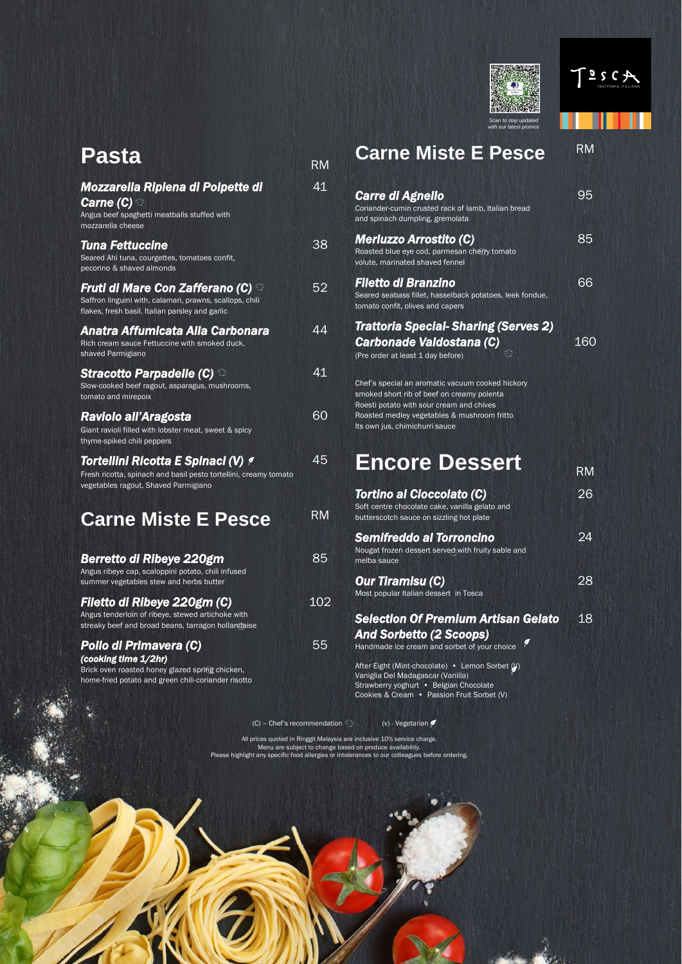



All prices quoted in Ringgit Malaysia are inclusive 10% service charge. Menu are subject to change based on produce availability. Please highlight any specific food allergies or intolerances to our colleagues before ordering.

# **Carne Miste E Pesce RM** *Carre di Agnello*

| <b>Pasta</b>                                                                                                                                            | <b>RM</b> |
|---------------------------------------------------------------------------------------------------------------------------------------------------------|-----------|
| Mozzarella Ripiena di Polpette di<br><b>Carne (C)</b> $\odot$<br>Angus beef spaghetti meatballs stuffed with<br>mozzarella cheese                       | 41        |
| <b>Tuna Fettuccine</b><br>Seared Ahi tuna, courgettes, tomatoes confit,<br>pecorino & shaved almonds                                                    | 38        |
| Fruti di Mare Con Zafferano (C) $^\odot$<br>Saffron linguini with, calamari, prawns, scallops, chili<br>flakes, fresh basil, Italian parsley and garlic | 52        |
| Anatra Affumicata Alla Carbonara<br>Rich cream sauce Fettuccine with smoked duck,<br>shaved Parmigiano                                                  | 44        |
| Stracotto Parpadelle (C) $\, \mathbb{G}$<br>Slow-cooked beef ragout, asparagus, mushrooms,<br>tomato and mirepoix                                       | 41        |
| Raviolo all'Aragosta<br>Giant ravioli filled with lobster meat, sweet & spicy<br>thyme-spiked chili peppers                                             | 60        |
| Tortellini Ricotta E Spinaci (V) 9<br>Fresh ricotta, spinach and basil pesto tortellini, creamy tomato<br>vegetables ragout, Shaved Parmigiano          | 45        |
| <b>Carne Miste E Pesce</b>                                                                                                                              | RM        |
| <b>Berretto di Ribeye 220gm</b><br>Angus ribeye cap, scaloppini potato, chili infused<br>summer vegetables stew and herbs butter                        | 85        |
| Filetto di Ribeye 220gm (C)<br>Angus tenderloin of ribeye, stewed artichoke with<br>streaky beef and broad beans, tarragon hollandaise                  | 102       |
| Pollo di Primavera (C)<br>(cooking time 1/2hr)<br>Brick oven roasted honey glazed spring chicken,                                                       | 55        |

Strawberry yoghurt • Belgian Chocolate Cookies & Cream • Passion Fruit Sorbet (V)

home-fried potato and green chili-coriander risotto

95

| Coriander-cumin crusted rack of lamb, Italian bread<br>and spinach dumpling, gremolata                                                     |     |
|--------------------------------------------------------------------------------------------------------------------------------------------|-----|
| <b>Merluzzo Arrostito (C)</b><br>Roasted blue eye cod, parmesan cherry tomato<br>volute, marinated shaved fennel                           | 85  |
| <b>Filetto di Branzino</b><br>Seared seabass fillet, hasselback potatoes, leek fondue,<br>tomato confit, olives and capers                 |     |
| <b>Trattoria Special-Sharing (Serves 2)</b>                                                                                                |     |
| Carbonade Valdostana (C)<br>(Pre order at least 1 day before)                                                                              | 160 |
| Chef's special an aromatic vacuum cooked hickory<br>smoked short rib of beef on creamy polenta<br>Roesti potato with sour cream and chives |     |

# **Encore Dessert**

Roasted medley vegetables & mushroom fritto

Its own jus, chimichurri sauce

|                                                                                                                                | IT IVI |
|--------------------------------------------------------------------------------------------------------------------------------|--------|
| <b>Tortino al Cioccolato (C)</b><br>Soft centre chocolate cake, vanilla gelato and<br>butterscotch sauce on sizzling hot plate | 26     |
| <b>Semifreddo al Torroncino</b><br>Nougat frozen dessert served with fruity sable and<br>melba sauce                           | 24     |
| <b>Our Tiramisu (C)</b><br>Most popular Italian dessert in Tosca                                                               | 28     |
| <b>Selection Of Premium Artisan Gelato</b><br><b>And Sorbetto (2 Scoops)</b><br>Handmade ice cream and sorbet of your choice   | 18     |
| After Eight (Mint-chocolate) • Lemon Sorbet (V)<br>Vaniglia Del Madagascar (Vanilla)                                           |        |

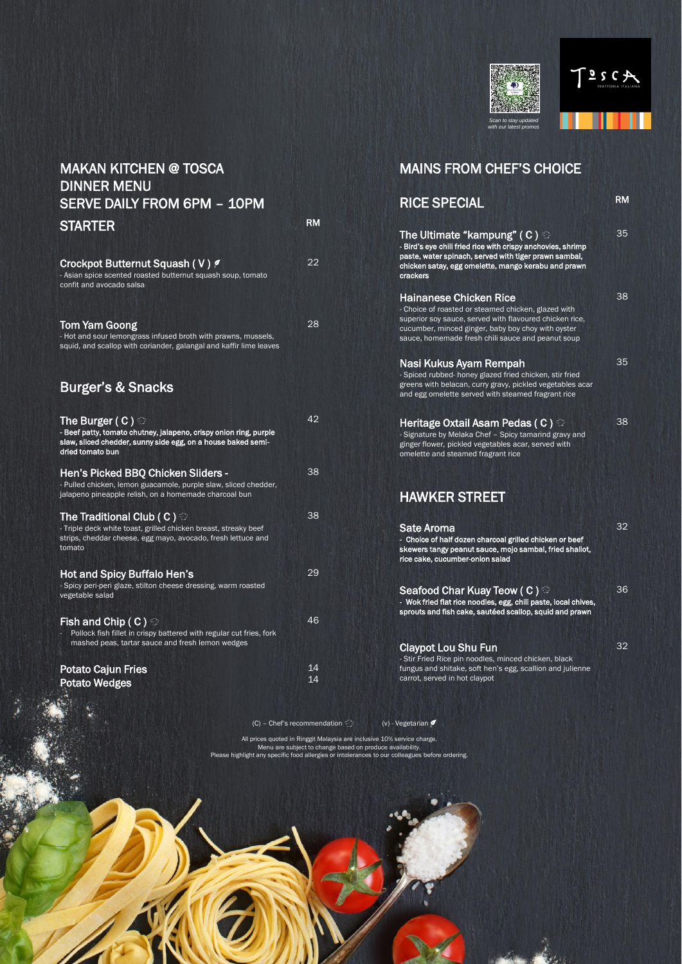



All prices quoted in Ringgit Malaysia are inclusive 10% service charge. Menu are subject to change based on produce availability. Please highlight any specific food allergies or intolerances to our colleagues before ordering.

### MAKAN KITCHEN @ TOSCA DINNER MENU SERVE DAILY FROM 6PM – 10PM STARTER RM

Crockpot Butternut Squash (V) ? - Asian spice scented roasted butternut squash soup, tomato confit and avocado salsa 22

Tom Yam Goong - Hot and sour lemongrass infused broth with prawns, mussels, 28

squid, and scallop with coriander, galangal and kaffir lime leaves

#### Burger's & Snacks

| The Burger ( C ) $\odot$<br>- Beef patty, tomato chutney, jalapeno, crispy onion ring, purple<br>slaw, sliced chedder, sunny side egg, on a house baked semi-<br>dried tomato bun | 42       |
|-----------------------------------------------------------------------------------------------------------------------------------------------------------------------------------|----------|
| <b>Hen's Picked BBQ Chicken Sliders -</b><br>- Pulled chicken, lemon guacamole, purple slaw, sliced chedder,<br>jalapeno pineapple relish, on a homemade charcoal bun             | 38       |
| The Traditional Club ( C ) $\odot$<br>- Triple deck white toast, grilled chicken breast, streaky beef<br>strips, cheddar cheese, egg mayo, avocado, fresh lettuce and<br>tomato   | 38       |
| <b>Hot and Spicy Buffalo Hen's</b><br>- Spicy peri-peri glaze, stilton cheese dressing, warm roasted<br>vegetable salad                                                           | 29       |
| Fish and Chip ( C ) $\odot$<br>Pollock fish fillet in crispy battered with regular cut fries, fork<br>mashed peas, tartar sauce and fresh lemon wedges                            | 46       |
| <b>Potato Cajun Fries</b><br><b>Potato Wedges</b>                                                                                                                                 | 14<br>14 |

#### MAINS FROM CHEF'S CHOICE

| <b>RICE SPECIAL</b>                                                                                                                                                                                                                                        | <b>RM</b> |
|------------------------------------------------------------------------------------------------------------------------------------------------------------------------------------------------------------------------------------------------------------|-----------|
| The Ultimate "kampung" ( C ) $\mathbin{\odot}$<br>- Bird's eye chili fried rice with crispy anchovies, shrimp<br>paste, water spinach, served with tiger prawn sambal,<br>chicken satay, egg omelette, mango kerabu and prawn<br>crackers                  | 35        |
| <b>Hainanese Chicken Rice</b><br>- Choice of roasted or steamed chicken, glazed with<br>superior soy sauce, served with flavoured chicken rice,<br>cucumber, minced ginger, baby boy choy with oyster<br>sauce, homemade fresh chili sauce and peanut soup | 38        |
| Nasi Kukus Ayam Rempah<br>- Spiced rubbed- honey glazed fried chicken, stir fried<br>greens with belacan, curry gravy, pickled vegetables acar<br>and egg omelette served with steamed fragrant rice                                                       | 35        |
| Heritage Oxtail Asam Pedas ( C ) $\odot$<br>- Signature by Melaka Chef - Spicy tamarind gravy and<br>ginger flower, pickled vegetables acar, served with<br>omelette and steamed fragrant rice                                                             | 38        |
| <b>HAWKER STREET</b>                                                                                                                                                                                                                                       |           |
| Sate Aroma<br>- Choice of half dozen charcoal grilled chicken or beef<br>skewers tangy peanut sauce, mojo sambal, fried shallot,<br>rice cake, cucumber-onion salad                                                                                        | 32        |
| Seafood Char Kuay Teow ( C ) $\mathbb {G}$<br>- Wok fried flat rice noodles, egg, chili paste, local chives,<br>sprouts and fish cake, sautéed scallop, squid and prawn                                                                                    | 36        |
| <b>Claypot Lou Shu Fun</b><br>- Stir Fried Rice pin noodles, minced chicken, black<br>fungus and shitake, soft hen's egg, scallion and julienne<br>carrot, served in hot claypot                                                                           | 32        |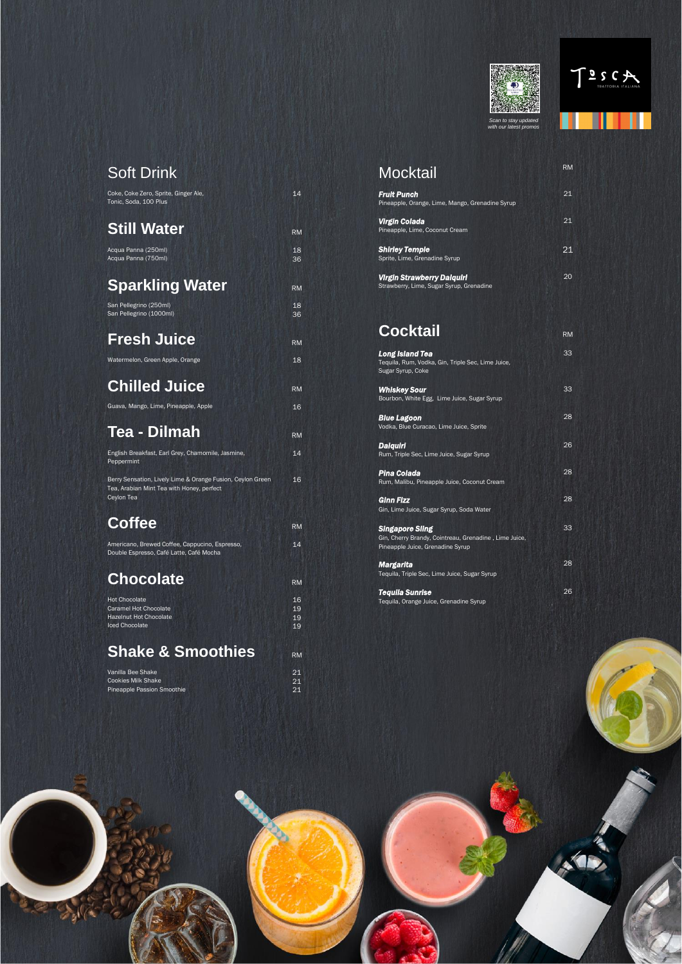



*Scan to stay updated with our latest promos*



## Soft Drink

| Coke, Coke Zero, Sprite, Ginger Ale,<br>Tonic, Soda, 100 Plus   | 14        |
|-----------------------------------------------------------------|-----------|
| <b>Still Water</b>                                              | <b>RM</b> |
| Acqua Panna (250ml)<br>Acqua Panna (750ml)                      | 18<br>36  |
| <b>Sparkling Water</b>                                          | <b>RM</b> |
| San Pellegrino (250ml)<br>San Pellegrino (1000ml)               | 18<br>36  |
| <b>Fresh Juice</b>                                              | <b>RM</b> |
| Watermelon, Green Apple, Orange                                 | 18        |
| <b>Chilled Juice</b>                                            | <b>RM</b> |
| Guava, Mango, Lime, Pineapple, Apple                            | 16        |
| Tea - Dilmah                                                    | <b>RM</b> |
| English Breakfast, Earl Grey, Chamomile, Jasmine,<br>Peppermint | 14        |

Berry Sensation, Lively Lime & Orange Fusion, Ceylon Green Tea, Arabian Mint Tea with Honey, perfect Ceylon Tea

16

| Americano, Brewed Coffee, Cappucino, Espresso,           |  |
|----------------------------------------------------------|--|
| Double Espresso, Café Latte, Café Mocha                  |  |
|                                                          |  |
| <b>PATT</b><br>the company of the company of the company |  |

#### **Chocolate** RM

14

## **Coffee** RM

| <b>Hot Chocolate</b>   | 16 |
|------------------------|----|
| Caramel Hot Chocolate  | 19 |
| Hazelnut Hot Chocolate | 19 |
| Iced Chocolate         | 19 |
|                        |    |

| Vanilla Bee Shake          |    |
|----------------------------|----|
| Cookies Milk Shake         | 21 |
| Pineapple Passion Smoothie |    |



| <b>Mocktail</b>                                                        | <b>RM</b> |
|------------------------------------------------------------------------|-----------|
| <b>Fruit Punch</b><br>Pineapple, Orange, Lime, Mango, Grenadine Syrup  | 21        |
| Virgin Colada<br>Pineapple, Lime, Coconut Cream                        | 21        |
| Shirley Temple<br>Sprite, Lime, Grenadine Syrup                        | 21        |
| Virgin Strawberry Daiquiri<br>Strawberry, Lime, Sugar Syrup, Grenadine | 20        |

# **Cocktail** RM

| <b>Long Island Tea</b>                                                                                              | 33 |
|---------------------------------------------------------------------------------------------------------------------|----|
| Teguila, Rum, Vodka, Gin, Triple Sec, Lime Juice,<br>Sugar Syrup, Coke                                              |    |
| <b>Whiskey Sour</b>                                                                                                 | 33 |
| Bourbon, White Egg, Lime Juice, Sugar Syrup                                                                         |    |
| Blue Lagoon<br>Vodka, Blue Curacao, Lime Juice, Sprite                                                              | 28 |
| <u>Daiquiri</u><br>Rum, Triple Sec, Lime Juice, Sugar Syrup                                                         | 26 |
| Pina Colada<br>Rum, Malibu, Pineapple Juice, Coconut Cream                                                          | 28 |
| Ginn Fizz<br>Gin, Lime Juice, Sugar Syrup, Soda Water                                                               | 28 |
| <b>Singapore Sling</b><br>Gin, Cherry Brandy, Cointreau, Grenadine, Lime Juice,<br>Pineapple Juice, Grenadine Syrup | 33 |
| Margarita<br>Tequila, Triple Sec, Lime Juice, Sugar Syrup                                                           | 28 |
| <b>Tequila Sunrise</b>                                                                                              | 26 |

Tequila, Orange Juice, Grenadine Syrup